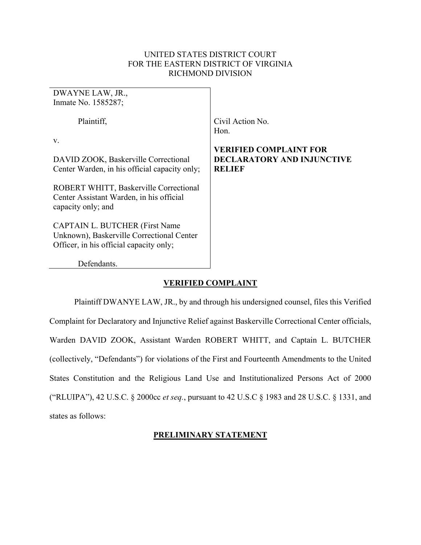## UNITED STATES DISTRICT COURT FOR THE EASTERN DISTRICT OF VIRGINIA RICHMOND DIVISION

| DWAYNE LAW, JR.,<br>Inmate No. 1585287;                                                                                                                   |                                                                                                |
|-----------------------------------------------------------------------------------------------------------------------------------------------------------|------------------------------------------------------------------------------------------------|
| Plaintiff,<br>v.<br>DAVID ZOOK, Baskerville Correctional                                                                                                  | Civil Action No.<br>Hon.<br><b>VERIFIED COMPLAINT FOR</b><br><b>DECLARATORY AND INJUNCTIVE</b> |
| Center Warden, in his official capacity only;<br>ROBERT WHITT, Baskerville Correctional<br>Center Assistant Warden, in his official<br>capacity only; and | <b>RELIEF</b>                                                                                  |
| <b>CAPTAIN L. BUTCHER (First Name</b><br>Unknown), Baskerville Correctional Center<br>Officer, in his official capacity only;                             |                                                                                                |
| Defendants.                                                                                                                                               |                                                                                                |

# **VERIFIED COMPLAINT**

Plaintiff DWANYE LAW, JR., by and through his undersigned counsel, files this Verified Complaint for Declaratory and Injunctive Relief against Baskerville Correctional Center officials, Warden DAVID ZOOK, Assistant Warden ROBERT WHITT, and Captain L. BUTCHER (collectively, "Defendants") for violations of the First and Fourteenth Amendments to the United States Constitution and the Religious Land Use and Institutionalized Persons Act of 2000 ("RLUIPA"), 42 U.S.C. § 2000cc *et seq.*, pursuant to 42 U.S.C § 1983 and 28 U.S.C. § 1331, and states as follows:

# **PRELIMINARY STATEMENT**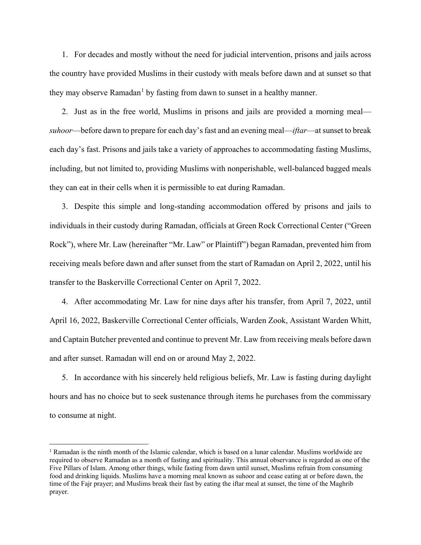1. For decades and mostly without the need for judicial intervention, prisons and jails across the country have provided Muslims in their custody with meals before dawn and at sunset so that they may observe Ramadan<sup>[1](#page-1-0)</sup> by fasting from dawn to sunset in a healthy manner.

2. Just as in the free world, Muslims in prisons and jails are provided a morning meal *suhoor*—before dawn to prepare for each day's fast and an evening meal—*iftar*—at sunset to break each day's fast. Prisons and jails take a variety of approaches to accommodating fasting Muslims, including, but not limited to, providing Muslims with nonperishable, well-balanced bagged meals they can eat in their cells when it is permissible to eat during Ramadan.

3. Despite this simple and long-standing accommodation offered by prisons and jails to individuals in their custody during Ramadan, officials at Green Rock Correctional Center ("Green Rock"), where Mr. Law (hereinafter "Mr. Law" or Plaintiff") began Ramadan, prevented him from receiving meals before dawn and after sunset from the start of Ramadan on April 2, 2022, until his transfer to the Baskerville Correctional Center on April 7, 2022.

4. After accommodating Mr. Law for nine days after his transfer, from April 7, 2022, until April 16, 2022, Baskerville Correctional Center officials, Warden Zook, Assistant Warden Whitt, and Captain Butcher prevented and continue to prevent Mr. Law from receiving meals before dawn and after sunset. Ramadan will end on or around May 2, 2022.

5. In accordance with his sincerely held religious beliefs, Mr. Law is fasting during daylight hours and has no choice but to seek sustenance through items he purchases from the commissary to consume at night.

 $\overline{a}$ 

<span id="page-1-0"></span><sup>&</sup>lt;sup>1</sup> Ramadan is the ninth month of the Islamic calendar, which is based on a lunar calendar. Muslims worldwide are required to observe Ramadan as a month of fasting and spirituality. This annual observance is regarded as one of the Five Pillars of Islam. Among other things, while fasting from dawn until sunset, Muslims refrain from consuming food and drinking liquids. Muslims have a morning meal known as suhoor and cease eating at or before dawn, the time of the Fajr prayer; and Muslims break their fast by eating the iftar meal at sunset, the time of the Maghrib prayer.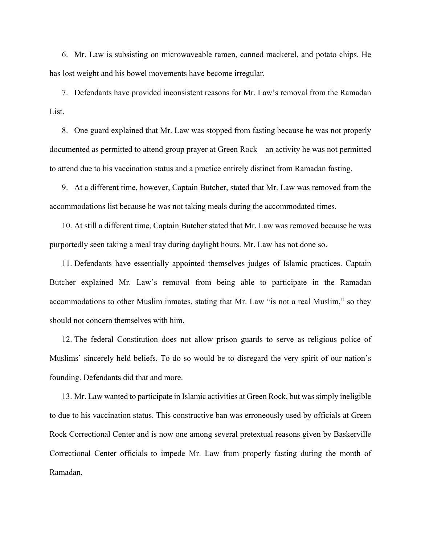6. Mr. Law is subsisting on microwaveable ramen, canned mackerel, and potato chips. He has lost weight and his bowel movements have become irregular.

7. Defendants have provided inconsistent reasons for Mr. Law's removal from the Ramadan List.

8. One guard explained that Mr. Law was stopped from fasting because he was not properly documented as permitted to attend group prayer at Green Rock—an activity he was not permitted to attend due to his vaccination status and a practice entirely distinct from Ramadan fasting.

9. At a different time, however, Captain Butcher, stated that Mr. Law was removed from the accommodations list because he was not taking meals during the accommodated times.

10. At still a different time, Captain Butcher stated that Mr. Law was removed because he was purportedly seen taking a meal tray during daylight hours. Mr. Law has not done so.

11. Defendants have essentially appointed themselves judges of Islamic practices. Captain Butcher explained Mr. Law's removal from being able to participate in the Ramadan accommodations to other Muslim inmates, stating that Mr. Law "is not a real Muslim," so they should not concern themselves with him.

12. The federal Constitution does not allow prison guards to serve as religious police of Muslims' sincerely held beliefs. To do so would be to disregard the very spirit of our nation's founding. Defendants did that and more.

13. Mr. Law wanted to participate in Islamic activities at Green Rock, but was simply ineligible to due to his vaccination status. This constructive ban was erroneously used by officials at Green Rock Correctional Center and is now one among several pretextual reasons given by Baskerville Correctional Center officials to impede Mr. Law from properly fasting during the month of Ramadan.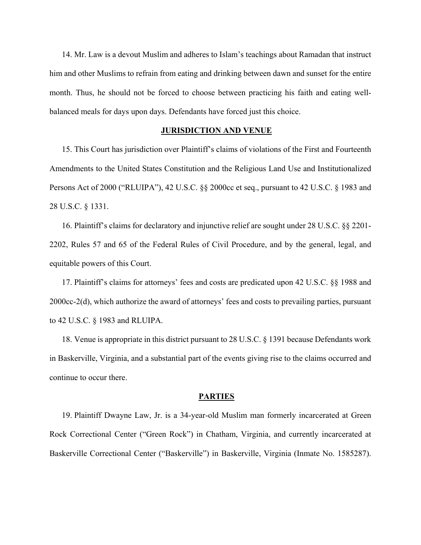14. Mr. Law is a devout Muslim and adheres to Islam's teachings about Ramadan that instruct him and other Muslims to refrain from eating and drinking between dawn and sunset for the entire month. Thus, he should not be forced to choose between practicing his faith and eating wellbalanced meals for days upon days. Defendants have forced just this choice.

#### **JURISDICTION AND VENUE**

15. This Court has jurisdiction over Plaintiff's claims of violations of the First and Fourteenth Amendments to the United States Constitution and the Religious Land Use and Institutionalized Persons Act of 2000 ("RLUIPA"), 42 U.S.C. §§ 2000cc et seq., pursuant to 42 U.S.C. § 1983 and 28 U.S.C. § 1331.

16. Plaintiff's claims for declaratory and injunctive relief are sought under 28 U.S.C. §§ 2201- 2202, Rules 57 and 65 of the Federal Rules of Civil Procedure, and by the general, legal, and equitable powers of this Court.

17. Plaintiff's claims for attorneys' fees and costs are predicated upon 42 U.S.C. §§ 1988 and 2000cc-2(d), which authorize the award of attorneys' fees and costs to prevailing parties, pursuant to 42 U.S.C. § 1983 and RLUIPA.

18. Venue is appropriate in this district pursuant to 28 U.S.C. § 1391 because Defendants work in Baskerville, Virginia, and a substantial part of the events giving rise to the claims occurred and continue to occur there.

#### **PARTIES**

19. Plaintiff Dwayne Law, Jr. is a 34-year-old Muslim man formerly incarcerated at Green Rock Correctional Center ("Green Rock") in Chatham, Virginia, and currently incarcerated at Baskerville Correctional Center ("Baskerville") in Baskerville, Virginia (Inmate No. 1585287).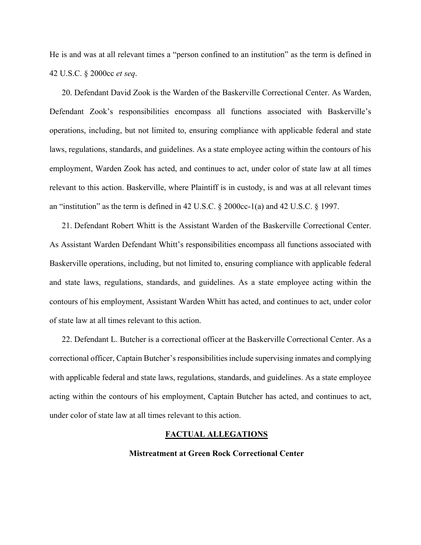He is and was at all relevant times a "person confined to an institution" as the term is defined in 42 U.S.C. § 2000cc *et seq*.

20. Defendant David Zook is the Warden of the Baskerville Correctional Center. As Warden, Defendant Zook's responsibilities encompass all functions associated with Baskerville's operations, including, but not limited to, ensuring compliance with applicable federal and state laws, regulations, standards, and guidelines. As a state employee acting within the contours of his employment, Warden Zook has acted, and continues to act, under color of state law at all times relevant to this action. Baskerville, where Plaintiff is in custody, is and was at all relevant times an "institution" as the term is defined in 42 U.S.C. § 2000cc-1(a) and 42 U.S.C. § 1997.

21. Defendant Robert Whitt is the Assistant Warden of the Baskerville Correctional Center. As Assistant Warden Defendant Whitt's responsibilities encompass all functions associated with Baskerville operations, including, but not limited to, ensuring compliance with applicable federal and state laws, regulations, standards, and guidelines. As a state employee acting within the contours of his employment, Assistant Warden Whitt has acted, and continues to act, under color of state law at all times relevant to this action.

22. Defendant L. Butcher is a correctional officer at the Baskerville Correctional Center. As a correctional officer, Captain Butcher's responsibilities include supervising inmates and complying with applicable federal and state laws, regulations, standards, and guidelines. As a state employee acting within the contours of his employment, Captain Butcher has acted, and continues to act, under color of state law at all times relevant to this action.

#### **FACTUAL ALLEGATIONS**

## **Mistreatment at Green Rock Correctional Center**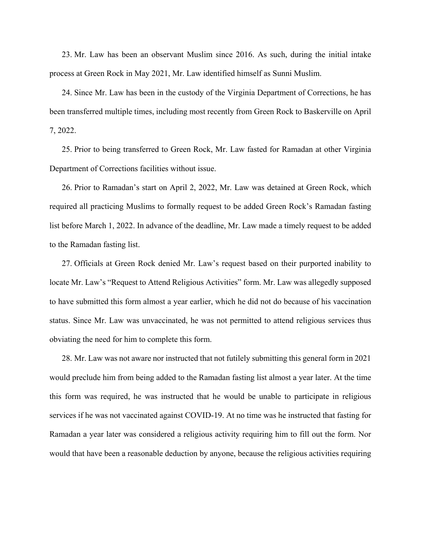23. Mr. Law has been an observant Muslim since 2016. As such, during the initial intake process at Green Rock in May 2021, Mr. Law identified himself as Sunni Muslim.

24. Since Mr. Law has been in the custody of the Virginia Department of Corrections, he has been transferred multiple times, including most recently from Green Rock to Baskerville on April 7, 2022.

25. Prior to being transferred to Green Rock, Mr. Law fasted for Ramadan at other Virginia Department of Corrections facilities without issue.

26. Prior to Ramadan's start on April 2, 2022, Mr. Law was detained at Green Rock, which required all practicing Muslims to formally request to be added Green Rock's Ramadan fasting list before March 1, 2022. In advance of the deadline, Mr. Law made a timely request to be added to the Ramadan fasting list.

27. Officials at Green Rock denied Mr. Law's request based on their purported inability to locate Mr. Law's "Request to Attend Religious Activities" form. Mr. Law was allegedly supposed to have submitted this form almost a year earlier, which he did not do because of his vaccination status. Since Mr. Law was unvaccinated, he was not permitted to attend religious services thus obviating the need for him to complete this form.

28. Mr. Law was not aware nor instructed that not futilely submitting this general form in 2021 would preclude him from being added to the Ramadan fasting list almost a year later. At the time this form was required, he was instructed that he would be unable to participate in religious services if he was not vaccinated against COVID-19. At no time was he instructed that fasting for Ramadan a year later was considered a religious activity requiring him to fill out the form. Nor would that have been a reasonable deduction by anyone, because the religious activities requiring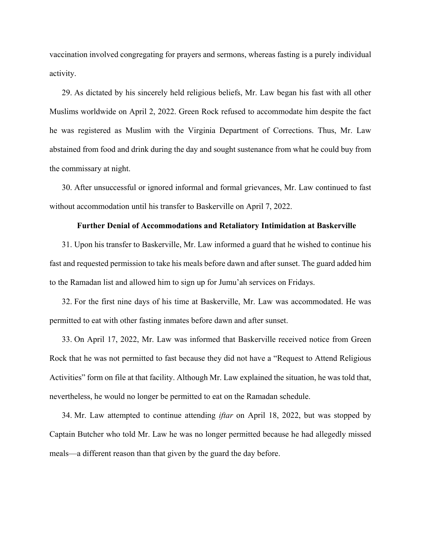vaccination involved congregating for prayers and sermons, whereas fasting is a purely individual activity.

29. As dictated by his sincerely held religious beliefs, Mr. Law began his fast with all other Muslims worldwide on April 2, 2022. Green Rock refused to accommodate him despite the fact he was registered as Muslim with the Virginia Department of Corrections. Thus, Mr. Law abstained from food and drink during the day and sought sustenance from what he could buy from the commissary at night.

30. After unsuccessful or ignored informal and formal grievances, Mr. Law continued to fast without accommodation until his transfer to Baskerville on April 7, 2022.

#### **Further Denial of Accommodations and Retaliatory Intimidation at Baskerville**

31. Upon his transfer to Baskerville, Mr. Law informed a guard that he wished to continue his fast and requested permission to take his meals before dawn and after sunset. The guard added him to the Ramadan list and allowed him to sign up for Jumu'ah services on Fridays.

32. For the first nine days of his time at Baskerville, Mr. Law was accommodated. He was permitted to eat with other fasting inmates before dawn and after sunset.

33. On April 17, 2022, Mr. Law was informed that Baskerville received notice from Green Rock that he was not permitted to fast because they did not have a "Request to Attend Religious Activities" form on file at that facility. Although Mr. Law explained the situation, he was told that, nevertheless, he would no longer be permitted to eat on the Ramadan schedule.

34. Mr. Law attempted to continue attending *iftar* on April 18, 2022, but was stopped by Captain Butcher who told Mr. Law he was no longer permitted because he had allegedly missed meals—a different reason than that given by the guard the day before.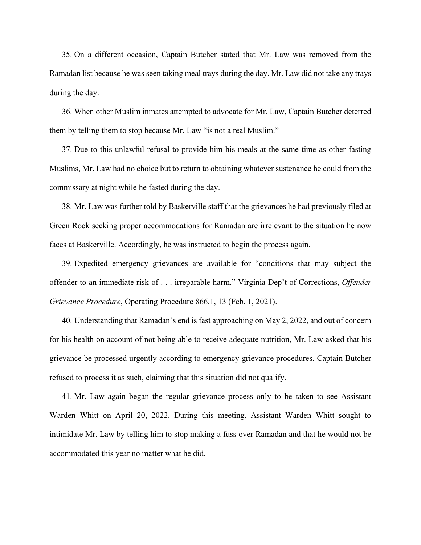35. On a different occasion, Captain Butcher stated that Mr. Law was removed from the Ramadan list because he was seen taking meal trays during the day. Mr. Law did not take any trays during the day.

36. When other Muslim inmates attempted to advocate for Mr. Law, Captain Butcher deterred them by telling them to stop because Mr. Law "is not a real Muslim."

37. Due to this unlawful refusal to provide him his meals at the same time as other fasting Muslims, Mr. Law had no choice but to return to obtaining whatever sustenance he could from the commissary at night while he fasted during the day.

38. Mr. Law was further told by Baskerville staff that the grievances he had previously filed at Green Rock seeking proper accommodations for Ramadan are irrelevant to the situation he now faces at Baskerville. Accordingly, he was instructed to begin the process again.

39. Expedited emergency grievances are available for "conditions that may subject the offender to an immediate risk of . . . irreparable harm." Virginia Dep't of Corrections, *Offender Grievance Procedure*, Operating Procedure 866.1, 13 (Feb. 1, 2021).

40. Understanding that Ramadan's end is fast approaching on May 2, 2022, and out of concern for his health on account of not being able to receive adequate nutrition, Mr. Law asked that his grievance be processed urgently according to emergency grievance procedures. Captain Butcher refused to process it as such, claiming that this situation did not qualify.

41. Mr. Law again began the regular grievance process only to be taken to see Assistant Warden Whitt on April 20, 2022. During this meeting, Assistant Warden Whitt sought to intimidate Mr. Law by telling him to stop making a fuss over Ramadan and that he would not be accommodated this year no matter what he did.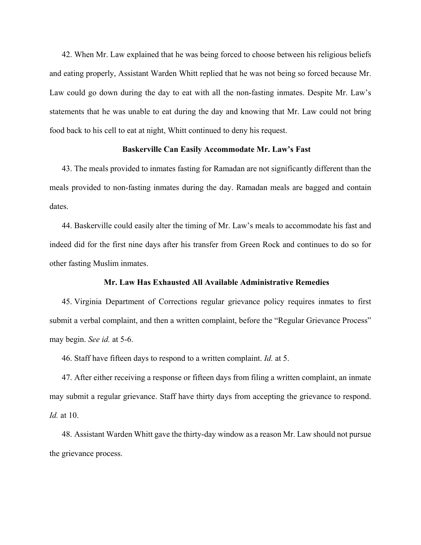42. When Mr. Law explained that he was being forced to choose between his religious beliefs and eating properly, Assistant Warden Whitt replied that he was not being so forced because Mr. Law could go down during the day to eat with all the non-fasting inmates. Despite Mr. Law's statements that he was unable to eat during the day and knowing that Mr. Law could not bring food back to his cell to eat at night, Whitt continued to deny his request.

## **Baskerville Can Easily Accommodate Mr. Law's Fast**

43. The meals provided to inmates fasting for Ramadan are not significantly different than the meals provided to non-fasting inmates during the day. Ramadan meals are bagged and contain dates.

44. Baskerville could easily alter the timing of Mr. Law's meals to accommodate his fast and indeed did for the first nine days after his transfer from Green Rock and continues to do so for other fasting Muslim inmates.

## **Mr. Law Has Exhausted All Available Administrative Remedies**

45. Virginia Department of Corrections regular grievance policy requires inmates to first submit a verbal complaint, and then a written complaint, before the "Regular Grievance Process" may begin. *See id.* at 5-6.

46. Staff have fifteen days to respond to a written complaint. *Id.* at 5.

47. After either receiving a response or fifteen days from filing a written complaint, an inmate may submit a regular grievance. Staff have thirty days from accepting the grievance to respond. *Id.* at 10.

48. Assistant Warden Whitt gave the thirty-day window as a reason Mr. Law should not pursue the grievance process.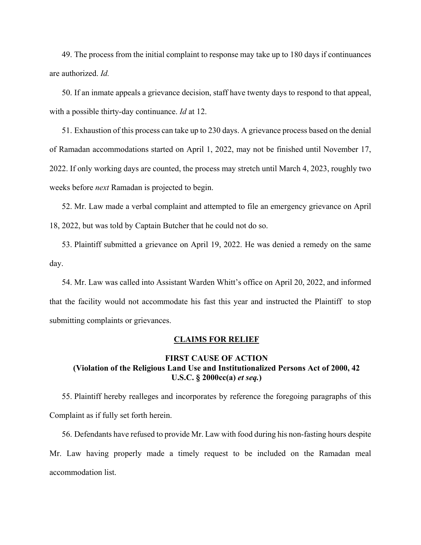49. The process from the initial complaint to response may take up to 180 days if continuances are authorized. *Id.*

50. If an inmate appeals a grievance decision, staff have twenty days to respond to that appeal, with a possible thirty-day continuance. *Id* at 12.

51. Exhaustion of this process can take up to 230 days. A grievance process based on the denial of Ramadan accommodations started on April 1, 2022, may not be finished until November 17, 2022. If only working days are counted, the process may stretch until March 4, 2023, roughly two weeks before *next* Ramadan is projected to begin.

52. Mr. Law made a verbal complaint and attempted to file an emergency grievance on April 18, 2022, but was told by Captain Butcher that he could not do so.

53. Plaintiff submitted a grievance on April 19, 2022. He was denied a remedy on the same day.

54. Mr. Law was called into Assistant Warden Whitt's office on April 20, 2022, and informed that the facility would not accommodate his fast this year and instructed the Plaintiff to stop submitting complaints or grievances.

#### **CLAIMS FOR RELIEF**

## **FIRST CAUSE OF ACTION (Violation of the Religious Land Use and Institutionalized Persons Act of 2000, 42 U.S.C. § 2000cc(a)** *et seq.***)**

55. Plaintiff hereby realleges and incorporates by reference the foregoing paragraphs of this Complaint as if fully set forth herein.

56. Defendants have refused to provide Mr. Law with food during his non-fasting hours despite Mr. Law having properly made a timely request to be included on the Ramadan meal accommodation list.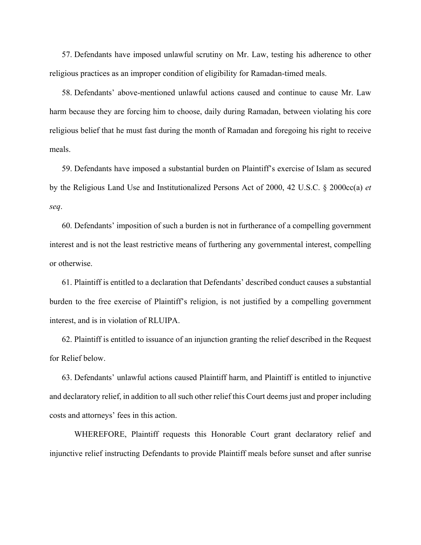57. Defendants have imposed unlawful scrutiny on Mr. Law, testing his adherence to other religious practices as an improper condition of eligibility for Ramadan-timed meals.

58. Defendants' above-mentioned unlawful actions caused and continue to cause Mr. Law harm because they are forcing him to choose, daily during Ramadan, between violating his core religious belief that he must fast during the month of Ramadan and foregoing his right to receive meals.

59. Defendants have imposed a substantial burden on Plaintiff's exercise of Islam as secured by the Religious Land Use and Institutionalized Persons Act of 2000, 42 U.S.C. § 2000cc(a) *et seq*.

60. Defendants' imposition of such a burden is not in furtherance of a compelling government interest and is not the least restrictive means of furthering any governmental interest, compelling or otherwise.

61. Plaintiff is entitled to a declaration that Defendants' described conduct causes a substantial burden to the free exercise of Plaintiff's religion, is not justified by a compelling government interest, and is in violation of RLUIPA.

62. Plaintiff is entitled to issuance of an injunction granting the relief described in the Request for Relief below.

63. Defendants' unlawful actions caused Plaintiff harm, and Plaintiff is entitled to injunctive and declaratory relief, in addition to all such other relief this Court deems just and proper including costs and attorneys' fees in this action.

WHEREFORE, Plaintiff requests this Honorable Court grant declaratory relief and injunctive relief instructing Defendants to provide Plaintiff meals before sunset and after sunrise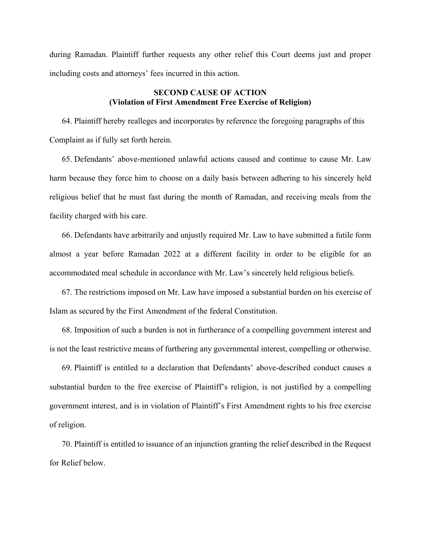during Ramadan. Plaintiff further requests any other relief this Court deems just and proper including costs and attorneys' fees incurred in this action.

## **SECOND CAUSE OF ACTION (Violation of First Amendment Free Exercise of Religion)**

64. Plaintiff hereby realleges and incorporates by reference the foregoing paragraphs of this Complaint as if fully set forth herein.

65. Defendants' above-mentioned unlawful actions caused and continue to cause Mr. Law harm because they force him to choose on a daily basis between adhering to his sincerely held religious belief that he must fast during the month of Ramadan, and receiving meals from the facility charged with his care.

66. Defendants have arbitrarily and unjustly required Mr. Law to have submitted a futile form almost a year before Ramadan 2022 at a different facility in order to be eligible for an accommodated meal schedule in accordance with Mr. Law's sincerely held religious beliefs.

67. The restrictions imposed on Mr. Law have imposed a substantial burden on his exercise of Islam as secured by the First Amendment of the federal Constitution.

68. Imposition of such a burden is not in furtherance of a compelling government interest and is not the least restrictive means of furthering any governmental interest, compelling or otherwise.

69. Plaintiff is entitled to a declaration that Defendants' above-described conduct causes a substantial burden to the free exercise of Plaintiff's religion, is not justified by a compelling government interest, and is in violation of Plaintiff's First Amendment rights to his free exercise of religion.

70. Plaintiff is entitled to issuance of an injunction granting the relief described in the Request for Relief below.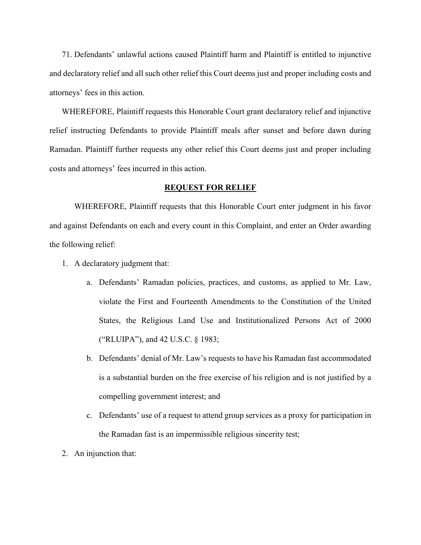71. Defendants' unlawful actions caused Plaintiff harm and Plaintiff is entitled to injunctive and declaratory relief and all such other relief this Court deems just and proper including costs and attorneys' fees in this action.

WHEREFORE, Plaintiff requests this Honorable Court grant declaratory relief and injunctive relief instructing Defendants to provide Plaintiff meals after sunset and before dawn during Ramadan. Plaintiff further requests any other relief this Court deems just and proper including costs and attorneys' fees incurred in this action.

### **REQUEST FOR RELIEF**

WHEREFORE, Plaintiff requests that this Honorable Court enter judgment in his favor and against Defendants on each and every count in this Complaint, and enter an Order awarding the following relief:

- 1. A declaratory judgment that:
	- a. Defendants' Ramadan policies, practices, and customs, as applied to Mr. Law, violate the First and Fourteenth Amendments to the Constitution of the United States, the Religious Land Use and Institutionalized Persons Act of 2000 ("RLUIPA"), and 42 U.S.C. § 1983;
	- b. Defendants' denial of Mr. Law's requests to have his Ramadan fast accommodated is a substantial burden on the free exercise of his religion and is not justified by a compelling government interest; and
	- c. Defendants' use of a request to attend group services as a proxy for participation in the Ramadan fast is an impermissible religious sincerity test;
- 2. An injunction that: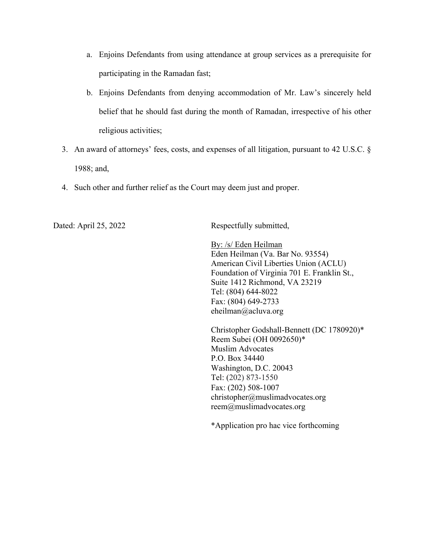- a. Enjoins Defendants from using attendance at group services as a prerequisite for participating in the Ramadan fast;
- b. Enjoins Defendants from denying accommodation of Mr. Law's sincerely held belief that he should fast during the month of Ramadan, irrespective of his other religious activities;
- 3. An award of attorneys' fees, costs, and expenses of all litigation, pursuant to 42 U.S.C. § 1988; and,
- 4. Such other and further relief as the Court may deem just and proper.

Dated: April 25, 2022 Respectfully submitted,

By: /s/ Eden Heilman Eden Heilman (Va. Bar No. 93554) American Civil Liberties Union (ACLU) Foundation of Virginia 701 E. Franklin St., Suite 1412 Richmond, VA 23219 Tel: (804) 644-8022 Fax: (804) 649-2733 eheilman@acluva.org

Christopher Godshall-Bennett (DC 1780920)\* Reem Subei (OH 0092650)\* Muslim Advocates P.O. Box 34440 Washington, D.C. 20043 Tel: (202) 873-1550 Fax: (202) 508-1007 christopher@muslimadvocates.org reem@muslimadvocates.org

\*Application pro hac vice forthcoming